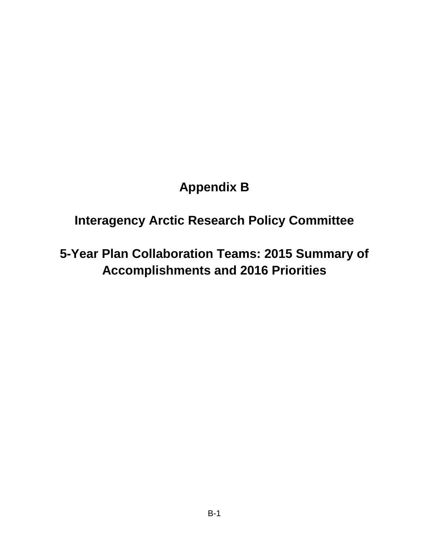# **Appendix B**

# **Interagency Arctic Research Policy Committee**

# **5-Year Plan Collaboration Teams: 2015 Summary of Accomplishments and 2016 Priorities**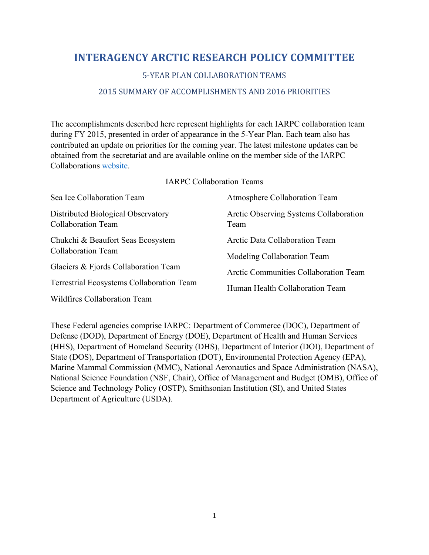# **INTERAGENCY ARCTIC RESEARCH POLICY COMMITTEE**

## 5-YEAR PLAN COLLABORATION TEAMS

## 2015 SUMMARY OF ACCOMPLISHMENTS AND 2016 PRIORITIES

The accomplishments described here represent highlights for each IARPC collaboration team during FY 2015, presented in order of appearance in the 5-Year Plan. Each team also has contributed an update on priorities for the coming year. The latest milestone updates can be obtained from the secretariat and are available online on the member side of the IARPC Collaborations [website](http://www.iarpccollaborations.org/index.html).

IARPC Collaboration Teams

| Sea Ice Collaboration Team                                      | Atmosphere Collaboration Team                  |
|-----------------------------------------------------------------|------------------------------------------------|
| Distributed Biological Observatory<br><b>Collaboration Team</b> | Arctic Observing Systems Collaboration<br>Team |
| Chukchi & Beaufort Seas Ecosystem<br><b>Collaboration Team</b>  | Arctic Data Collaboration Team                 |
|                                                                 | Modeling Collaboration Team                    |
| Glaciers & Fjords Collaboration Team                            | Arctic Communities Collaboration Team          |
| Terrestrial Ecosystems Collaboration Team                       | Human Health Collaboration Team                |
| Wildfires Collaboration Team                                    |                                                |

These Federal agencies comprise IARPC: Department of Commerce (DOC), Department of Defense (DOD), Department of Energy (DOE), Department of Health and Human Services (HHS), Department of Homeland Security (DHS), Department of Interior (DOI), Department of State (DOS), Department of Transportation (DOT), Environmental Protection Agency (EPA), Marine Mammal Commission (MMC), National Aeronautics and Space Administration (NASA), National Science Foundation (NSF, Chair), Office of Management and Budget (OMB), Office of Science and Technology Policy (OSTP), Smithsonian Institution (SI), and United States Department of Agriculture (USDA).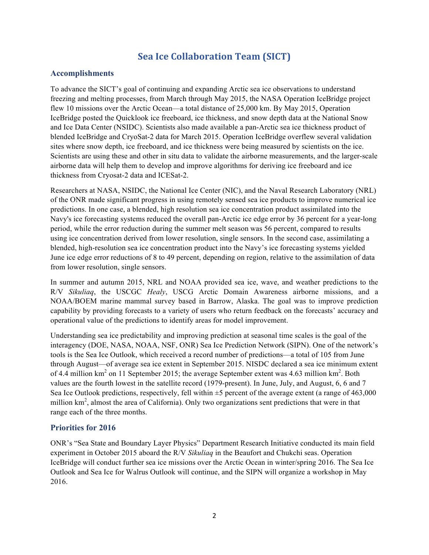# **Sea Ice Collaboration Team (SICT)**

#### **Accomplishments**

To advance the SICT's goal of continuing and expanding Arctic sea ice observations to understand freezing and melting processes, from March through May 2015, the NASA Operation IceBridge project flew 10 missions over the Arctic Ocean—a total distance of 25,000 km. By May 2015, Operation IceBridge posted the Quicklook ice freeboard, ice thickness, and snow depth data at the National Snow and Ice Data Center (NSIDC). Scientists also made available a pan-Arctic sea ice thickness product of blended IceBridge and CryoSat-2 data for March 2015. Operation IceBridge overflew several validation sites where snow depth, ice freeboard, and ice thickness were being measured by scientists on the ice. Scientists are using these and other in situ data to validate the airborne measurements, and the larger-scale airborne data will help them to develop and improve algorithms for deriving ice freeboard and ice thickness from Cryosat-2 data and ICESat-2.

Researchers at NASA, NSIDC, the National Ice Center (NIC), and the Naval Research Laboratory (NRL) of the ONR made significant progress in using remotely sensed sea ice products to improve numerical ice predictions. In one case, a blended, high resolution sea ice concentration product assimilated into the Navy's ice forecasting systems reduced the overall pan-Arctic ice edge error by 36 percent for a year-long period, while the error reduction during the summer melt season was 56 percent, compared to results using ice concentration derived from lower resolution, single sensors. In the second case, assimilating a blended, high-resolution sea ice concentration product into the Navy's ice forecasting systems yielded June ice edge error reductions of 8 to 49 percent, depending on region, relative to the assimilation of data from lower resolution, single sensors.

In summer and autumn 2015, NRL and NOAA provided sea ice, wave, and weather predictions to the R/V *Sikuliaq*, the USCGC *Healy*, USCG Arctic Domain Awareness airborne missions, and a NOAA/BOEM marine mammal survey based in Barrow, Alaska. The goal was to improve prediction capability by providing forecasts to a variety of users who return feedback on the forecasts' accuracy and operational value of the predictions to identify areas for model improvement.

Understanding sea ice predictability and improving prediction at seasonal time scales is the goal of the interagency (DOE, NASA, NOAA, NSF, ONR) Sea Ice Prediction Network (SIPN). One of the network's tools is the Sea Ice Outlook, which received a record number of predictions—a total of 105 from June through August—of average sea ice extent in September 2015. NISDC declared a sea ice minimum extent of 4.4 million  $km^2$  on 11 September 2015; the average September extent was 4.63 million  $km^2$ . Both values are the fourth lowest in the satellite record (1979-present). In June, July, and August, 6, 6 and 7 Sea Ice Outlook predictions, respectively, fell within  $\pm 5$  percent of the average extent (a range of 463,000 million km<sup>2</sup>, almost the area of California). Only two organizations sent predictions that were in that range each of the three months.

#### **Priorities for 2016**

ONR's "Sea State and Boundary Layer Physics" Department Research Initiative conducted its main field experiment in October 2015 aboard the R/V *Sikuliaq* in the Beaufort and Chukchi seas. Operation IceBridge will conduct further sea ice missions over the Arctic Ocean in winter/spring 2016. The Sea Ice Outlook and Sea Ice for Walrus Outlook will continue, and the SIPN will organize a workshop in May 2016.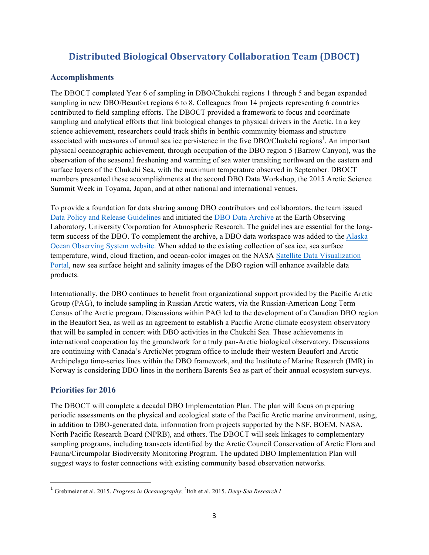# **Distributed Biological Observatory Collaboration Team (DBOCT)**

### **Accomplishments**

The DBOCT completed Year 6 of sampling in DBO/Chukchi regions 1 through 5 and began expanded sampling in new DBO/Beaufort regions 6 to 8. Colleagues from 14 projects representing 6 countries contributed to field sampling efforts. The DBOCT provided a framework to focus and coordinate sampling and analytical efforts that link biological changes to physical drivers in the Arctic. In a key science achievement, researchers could track shifts in benthic community biomass and structure associated with measures of annual sea ice persistence in the five  $DBO/Chukchi$  regions<sup>1</sup>. An important physical oceanographic achievement, through occupation of the DBO region 5 (Barrow Canyon), was the observation of the seasonal freshening and warming of sea water transiting northward on the eastern and surface layers of the Chukchi Sea, with the maximum temperature observed in September. DBOCT members presented these accomplishments at the second DBO Data Workshop, the 2015 Arctic Science Summit Week in Toyama, Japan, and at other national and international venues.

To provide a foundation for data sharing among DBO contributors and collaborators, the team issued [Data Policy and Release Guidelines](http://dbo.eol.ucar.edu/data_policy-dbo.html) and initiated the [DBO Data Archive](https://www.eol.ucar.edu/field_projects/dbo) at the Earth Observing Laboratory, University Corporation for Atmospheric Research. The guidelines are essential for the longterm success of the DBO. To complement the archive, a DBO data workspace was added to the [Alaska](https://workspace.aoos.org/group/23134/projects) [Ocean Observing System website](https://workspace.aoos.org/group/23134/projects). When added to the existing collection of sea ice, sea surface temperature, wind, cloud fraction, and ocean-color images on the NASA [Satellite Data Visualization](http://neptune.gsfc.nasa.gov/csb/index.php?section=270) [Portal](http://neptune.gsfc.nasa.gov/csb/index.php?section=270), new sea surface height and salinity images of the DBO region will enhance available data products.

Internationally, the DBO continues to benefit from organizational support provided by the Pacific Arctic Group (PAG), to include sampling in Russian Arctic waters, via the Russian-American Long Term Census of the Arctic program. Discussions within PAG led to the development of a Canadian DBO region in the Beaufort Sea, as well as an agreement to establish a Pacific Arctic climate ecosystem observatory that will be sampled in concert with DBO activities in the Chukchi Sea. These achievements in international cooperation lay the groundwork for a truly pan-Arctic biological observatory. Discussions are continuing with Canada's ArcticNet program office to include their western Beaufort and Arctic Archipelago time-series lines within the DBO framework, and the Institute of Marine Research (IMR) in Norway is considering DBO lines in the northern Barents Sea as part of their annual ecosystem surveys.

## **Priorities for 2016**

<u> 1989 - Johann Stein, markin film yn y breninn y breninn y breninn y breninn y breninn y breninn y breninn y b</u>

The DBOCT will complete a decadal DBO Implementation Plan. The plan will focus on preparing periodic assessments on the physical and ecological state of the Pacific Arctic marine environment, using, in addition to DBO-generated data, information from projects supported by the NSF, BOEM, NASA, North Pacific Research Board (NPRB), and others. The DBOCT will seek linkages to complementary sampling programs, including transects identified by the Arctic Council Conservation of Arctic Flora and Fauna/Circumpolar Biodiversity Monitoring Program. The updated DBO Implementation Plan will suggest ways to foster connections with existing community based observation networks.

<sup>&</sup>lt;sup>1</sup> Grebmeier et al. 2015. *Progress in Oceanography*; <sup>2</sup>Itoh et al. 2015. *Deep-Sea Research I*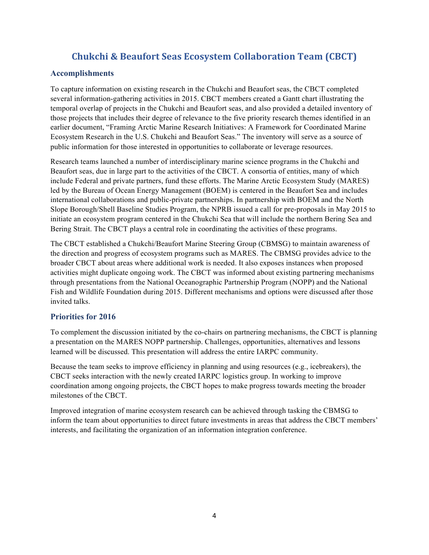# **Chukchi & Beaufort Seas Ecosystem Collaboration Team (CBCT)**

## **Accomplishments**

To capture information on existing research in the Chukchi and Beaufort seas, the CBCT completed several information-gathering activities in 2015. CBCT members created a Gantt chart illustrating the temporal overlap of projects in the Chukchi and Beaufort seas, and also provided a detailed inventory of those projects that includes their degree of relevance to the five priority research themes identified in an earlier document, "Framing Arctic Marine Research Initiatives: A Framework for Coordinated Marine Ecosystem Research in the U.S. Chukchi and Beaufort Seas." The inventory will serve as a source of public information for those interested in opportunities to collaborate or leverage resources.

Research teams launched a number of interdisciplinary marine science programs in the Chukchi and Beaufort seas, due in large part to the activities of the CBCT. A consortia of entities, many of which include Federal and private partners, fund these efforts. The Marine Arctic Ecosystem Study (MARES) led by the Bureau of Ocean Energy Management (BOEM) is centered in the Beaufort Sea and includes international collaborations and public-private partnerships. In partnership with BOEM and the North Slope Borough/Shell Baseline Studies Program, the NPRB issued a call for pre-proposals in May 2015 to initiate an ecosystem program centered in the Chukchi Sea that will include the northern Bering Sea and Bering Strait. The CBCT plays a central role in coordinating the activities of these programs.

The CBCT established a Chukchi/Beaufort Marine Steering Group (CBMSG) to maintain awareness of the direction and progress of ecosystem programs such as MARES. The CBMSG provides advice to the broader CBCT about areas where additional work is needed. It also exposes instances when proposed activities might duplicate ongoing work. The CBCT was informed about existing partnering mechanisms through presentations from the National Oceanographic Partnership Program (NOPP) and the National Fish and Wildlife Foundation during 2015. Different mechanisms and options were discussed after those invited talks.

## **Priorities for 2016**

To complement the discussion initiated by the co-chairs on partnering mechanisms, the CBCT is planning a presentation on the MARES NOPP partnership. Challenges, opportunities, alternatives and lessons learned will be discussed. This presentation will address the entire IARPC community.

Because the team seeks to improve efficiency in planning and using resources (e.g., icebreakers), the CBCT seeks interaction with the newly created IARPC logistics group. In working to improve coordination among ongoing projects, the CBCT hopes to make progress towards meeting the broader milestones of the CBCT.

Improved integration of marine ecosystem research can be achieved through tasking the CBMSG to inform the team about opportunities to direct future investments in areas that address the CBCT members' interests, and facilitating the organization of an information integration conference.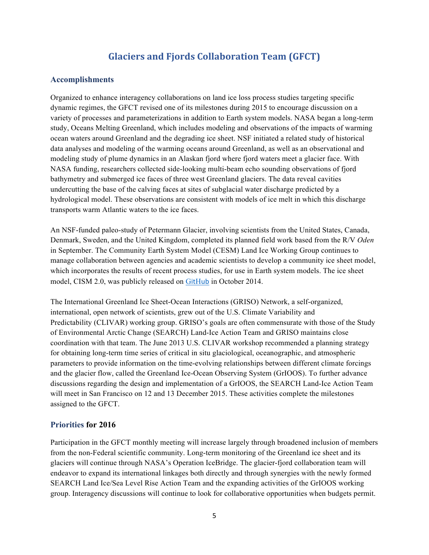# **Glaciers and Fjords Collaboration Team (GFCT)**

#### **Accomplishments**

Organized to enhance interagency collaborations on land ice loss process studies targeting specific dynamic regimes, the GFCT revised one of its milestones during 2015 to encourage discussion on a variety of processes and parameterizations in addition to Earth system models. NASA began a long-term study, Oceans Melting Greenland, which includes modeling and observations of the impacts of warming ocean waters around Greenland and the degrading ice sheet. NSF initiated a related study of historical data analyses and modeling of the warming oceans around Greenland, as well as an observational and modeling study of plume dynamics in an Alaskan fjord where fjord waters meet a glacier face. With NASA funding, researchers collected side-looking multi-beam echo sounding observations of fjord bathymetry and submerged ice faces of three west Greenland glaciers. The data reveal cavities undercutting the base of the calving faces at sites of subglacial water discharge predicted by a hydrological model. These observations are consistent with models of ice melt in which this discharge transports warm Atlantic waters to the ice faces.

An NSF-funded paleo-study of Petermann Glacier, involving scientists from the United States, Canada, Denmark, Sweden, and the United Kingdom, completed its planned field work based from the R/V *Oden* in September. The Community Earth System Model (CESM) Land Ice Working Group continues to manage collaboration between agencies and academic scientists to develop a community ice sheet model, which incorporates the results of recent process studies, for use in Earth system models. The ice sheet model, CISM 2.0, was publicly released on GitH[ub](https://github.com/cism/cism) in October 2014.

The International Greenland Ice Sheet-Ocean Interactions (GRISO) Network, a self-organized, international, open network of scientists, grew out of the U.S. Climate Variability and Predictability (CLIVAR) working group. GRISO's goals are often commensurate with those of the Study of Environmental Arctic Change (SEARCH) Land-Ice Action Team and GRISO maintains close coordination with that team. The June 2013 U.S. CLIVAR workshop recommended a planning strategy for obtaining long-term time series of critical in situ glaciological, oceanographic, and atmospheric parameters to provide information on the time-evolving relationships between different climate forcings and the glacier flow, called the Greenland Ice-Ocean Observing System (GrIOOS). To further advance discussions regarding the design and implementation of a GrIOOS, the SEARCH Land-Ice Action Team will meet in San Francisco on 12 and 13 December 2015. These activities complete the milestones assigned to the GFCT.

### **Priorities for 2016**

Participation in the GFCT monthly meeting will increase largely through broadened inclusion of members from the non-Federal scientific community. Long-term monitoring of the Greenland ice sheet and its glaciers will continue through NASA's Operation IceBridge. The glacier-fjord collaboration team will endeavor to expand its international linkages both directly and through synergies with the newly formed SEARCH Land Ice/Sea Level Rise Action Team and the expanding activities of the GrIOOS working group. Interagency discussions will continue to look for collaborative opportunities when budgets permit.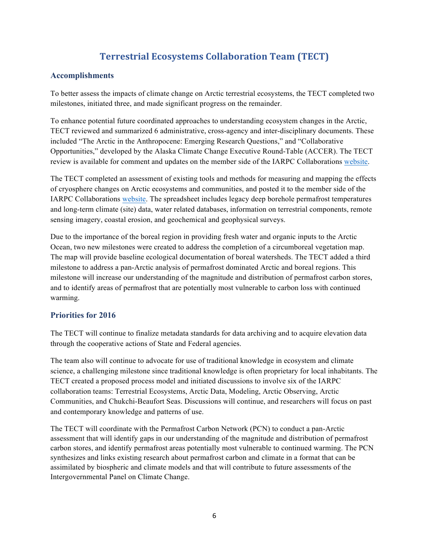# **Terrestrial Ecosystems Collaboration Team (TECT)**

## **Accomplishments**

To better assess the impacts of climate change on Arctic terrestrial ecosystems, the TECT completed two milestones, initiated three, and made significant progress on the remainder.

To enhance potential future coordinated approaches to understanding ecosystem changes in the Arctic, TECT reviewed and summarized 6 administrative, cross-agency and inter-disciplinary documents. These included "The Arctic in the Anthropocene: Emerging Research Questions," and "Collaborative Opportunities," developed by the Alaska Climate Change Executive Round-Table (ACCER). The TECT review is available for comment and updates on the member side of the IARPC Collaborations [website](http://www.iarpccollaborations.org).

The TECT completed an assessment of existing tools and methods for measuring and mapping the effects of cryosphere changes on Arctic ecosystems and communities, and posted it to the member side of the IARPC Collaborations [website](http://www.iarpccollaborations.org). The spreadsheet includes legacy deep borehole permafrost temperatures and long-term climate (site) data, water related databases, information on terrestrial components, remote sensing imagery, coastal erosion, and geochemical and geophysical surveys.

Due to the importance of the boreal region in providing fresh water and organic inputs to the Arctic Ocean, two new milestones were created to address the completion of a circumboreal vegetation map. The map will provide baseline ecological documentation of boreal watersheds. The TECT added a third milestone to address a pan-Arctic analysis of permafrost dominated Arctic and boreal regions. This milestone will increase our understanding of the magnitude and distribution of permafrost carbon stores, and to identify areas of permafrost that are potentially most vulnerable to carbon loss with continued warming.

### **Priorities for 2016**

The TECT will continue to finalize metadata standards for data archiving and to acquire elevation data through the cooperative actions of State and Federal agencies.

The team also will continue to advocate for use of traditional knowledge in ecosystem and climate science, a challenging milestone since traditional knowledge is often proprietary for local inhabitants. The TECT created a proposed process model and initiated discussions to involve six of the IARPC collaboration teams: Terrestrial Ecosystems, Arctic Data, Modeling, Arctic Observing, Arctic Communities, and Chukchi-Beaufort Seas. Discussions will continue, and researchers will focus on past and contemporary knowledge and patterns of use.

The TECT will coordinate with the Permafrost Carbon Network (PCN) to conduct a pan-Arctic assessment that will identify gaps in our understanding of the magnitude and distribution of permafrost carbon stores, and identify permafrost areas potentially most vulnerable to continued warming. The PCN synthesizes and links existing research about permafrost carbon and climate in a format that can be assimilated by biospheric and climate models and that will contribute to future assessments of the Intergovernmental Panel on Climate Change.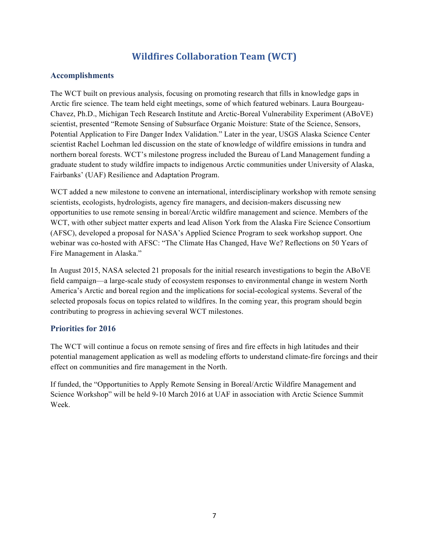# **Wildfires Collaboration Team (WCT)**

## **Accomplishments**

The WCT built on previous analysis, focusing on promoting research that fills in knowledge gaps in Arctic fire science. The team held eight meetings, some of which featured webinars. Laura Bourgeau-Chavez, Ph.D., Michigan Tech Research Institute and Arctic-Boreal Vulnerability Experiment (ABoVE) scientist, presented "Remote Sensing of Subsurface Organic Moisture: State of the Science, Sensors, Potential Application to Fire Danger Index Validation." Later in the year, USGS Alaska Science Center scientist Rachel Loehman led discussion on the state of knowledge of wildfire emissions in tundra and northern boreal forests. WCT's milestone progress included the Bureau of Land Management funding a graduate student to study wildfire impacts to indigenous Arctic communities under University of Alaska, Fairbanks' (UAF) Resilience and Adaptation Program.

WCT added a new milestone to convene an international, interdisciplinary workshop with remote sensing scientists, ecologists, hydrologists, agency fire managers, and decision-makers discussing new opportunities to use remote sensing in boreal/Arctic wildfire management and science. Members of the WCT, with other subject matter experts and lead Alison York from the Alaska Fire Science Consortium (AFSC), developed a proposal for NASA's Applied Science Program to seek workshop support. One webinar was co-hosted with AFSC: "The Climate Has Changed, Have We? Reflections on 50 Years of Fire Management in Alaska."

In August 2015, NASA selected 21 proposals for the initial research investigations to begin the ABoVE field campaign—a large-scale study of ecosystem responses to environmental change in western North America's Arctic and boreal region and the implications for social-ecological systems. Several of the selected proposals focus on topics related to wildfires. In the coming year, this program should begin contributing to progress in achieving several WCT milestones.

## **Priorities for 2016**

The WCT will continue a focus on remote sensing of fires and fire effects in high latitudes and their potential management application as well as modeling efforts to understand climate-fire forcings and their effect on communities and fire management in the North.

If funded, the "Opportunities to Apply Remote Sensing in Boreal/Arctic Wildfire Management and Science Workshop" will be held 9-10 March 2016 at UAF in association with Arctic Science Summit Week.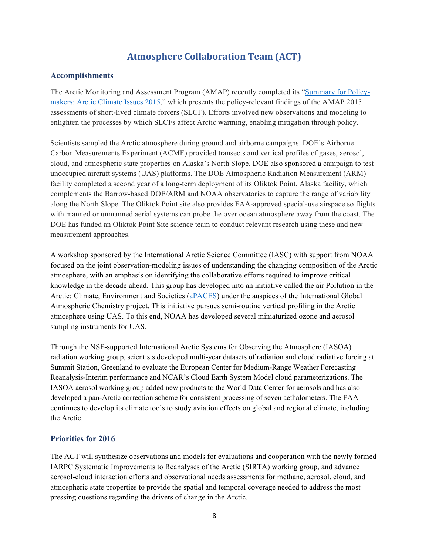# **Atmosphere Collaboration Team (ACT)**

### **Accomplishments**

The Arctic Monitoring and Assessment Program (AMAP) recently completed its "[Summary for Policy](http://www.amap.no/documents/doc/summary-for-policy-makers-arctic-climate-issues-2015/1196)[makers: Arctic Climate Issues 2015](http://www.amap.no/documents/doc/summary-for-policy-makers-arctic-climate-issues-2015/1196)," which presents the policy-relevant findings of the AMAP 2015 assessments of short-lived climate forcers (SLCF). Efforts involved new observations and modeling to enlighten the processes by which SLCFs affect Arctic warming, enabling mitigation through policy.

Scientists sampled the Arctic atmosphere during ground and airborne campaigns. DOE's Airborne Carbon Measurements Experiment (ACME) provided transects and vertical profiles of gases, aerosol, cloud, and atmospheric state properties on Alaska's North Slope. DOE also sponsored a campaign to test unoccupied aircraft systems (UAS) platforms. The DOE Atmospheric Radiation Measurement (ARM) facility completed a second year of a long-term deployment of its Oliktok Point, Alaska facility, which complements the Barrow-based DOE/ARM and NOAA observatories to capture the range of variability along the North Slope. The Oliktok Point site also provides FAA-approved special-use airspace so flights with manned or unmanned aerial systems can probe the over ocean atmosphere away from the coast. The DOE has funded an Oliktok Point Site science team to conduct relevant research using these and new measurement approaches.

A workshop sponsored by the International Arctic Science Committee (IASC) with support from NOAA focused on the joint observation-modeling issues of understanding the changing composition of the Arctic atmosphere, with an emphasis on identifying the collaborative efforts required to improve critical knowledge in the decade ahead. This group has developed into an initiative called the air Pollution in the Arctic: Climate, Environment and Societies ([aPACES\)](http://www.igacproject.org/PACES) under the auspices of the International Global Atmospheric Chemistry project. This initiative pursues semi-routine vertical profiling in the Arctic atmosphere using UAS. To this end, NOAA has developed several miniaturized ozone and aerosol sampling instruments for UAS.

Through the NSF-supported International Arctic Systems for Observing the Atmosphere (IASOA) radiation working group, scientists developed multi-year datasets of radiation and cloud radiative forcing at Summit Station, Greenland to evaluate the European Center for Medium-Range Weather Forecasting Reanalysis-Interim performance and NCAR's Cloud Earth System Model cloud parameterizations. The IASOA aerosol working group added new products to the World Data Center for aerosols and has also developed a pan-Arctic correction scheme for consistent processing of seven aethalometers. The FAA continues to develop its climate tools to study aviation effects on global and regional climate, including the Arctic.

### **Priorities for 2016**

The ACT will synthesize observations and models for evaluations and cooperation with the newly formed IARPC Systematic Improvements to Reanalyses of the Arctic (SIRTA) working group, and advance aerosol-cloud interaction efforts and observational needs assessments for methane, aerosol, cloud, and atmospheric state properties to provide the spatial and temporal coverage needed to address the most pressing questions regarding the drivers of change in the Arctic.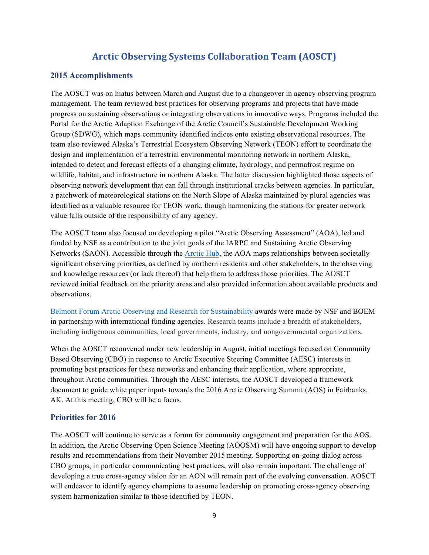# **Arctic Observing Systems Collaboration Team (AOSCT)**

#### **2015 Accomplishments**

The AOSCT was on hiatus between March and August due to a changeover in agency observing program management. The team reviewed best practices for observing programs and projects that have made progress on sustaining observations or integrating observations in innovative ways. Programs included the Portal for the Arctic Adaption Exchange of the Arctic Council's Sustainable Development Working Group (SDWG), which maps community identified indices onto existing observational resources. The team also reviewed Alaska's Terrestrial Ecosystem Observing Network (TEON) effort to coordinate the design and implementation of a terrestrial environmental monitoring network in northern Alaska, intended to detect and forecast effects of a changing climate, hydrology, and permafrost regime on wildlife, habitat, and infrastructure in northern Alaska. The latter discussion highlighted those aspects of observing network development that can fall through institutional cracks between agencies. In particular, a patchwork of meteorological stations on the North Slope of Alaska maintained by plural agencies was identified as a valuable resource for TEON work, though harmonizing the stations for greater network value falls outside of the responsibility of any agency.

The AOSCT team also focused on developing a pilot "Arctic Observing Assessment" (AOA), led and funded by NSF as a contribution to the joint goals of the IARPC and Sustaining Arctic Observing Networks (SAON). Accessible through the [Arctic Hub](https://www.arctichub.net/arctic-observing-assessment), the AOA maps relationships between societally significant observing priorities, as defined by northern residents and other stakeholders, to the observing and knowledge resources (or lack thereof) that help them to address those priorities. The AOSCT reviewed initial feedback on the priority areas and also provided information about available products and observations.

[Belmont Forum Arctic Observing and Research for Sustainability](http://www.belmontforum.org/cra-2014-arctic-observing-and-research-sustainability) awards were made by NSF and BOEM in partnership with international funding agencies. Research teams include a breadth of stakeholders, including indigenous communities, local governments, industry, and nongovernmental organizations.

When the AOSCT reconvened under new leadership in August, initial meetings focused on Community Based Observing (CBO) in response to Arctic Executive Steering Committee (AESC) interests in promoting best practices for these networks and enhancing their application, where appropriate, throughout Arctic communities. Through the AESC interests, the AOSCT developed a framework document to guide white paper inputs towards the 2016 Arctic Observing Summit (AOS) in Fairbanks, AK. At this meeting, CBO will be a focus.

### **Priorities for 2016**

The AOSCT will continue to serve as a forum for community engagement and preparation for the AOS. In addition, the Arctic Observing Open Science Meeting (AOOSM) will have ongoing support to develop results and recommendations from their November 2015 meeting. Supporting on-going dialog across CBO groups, in particular communicating best practices, will also remain important. The challenge of developing a true cross-agency vision for an AON will remain part of the evolving conversation. AOSCT will endeavor to identify agency champions to assume leadership on promoting cross-agency observing system harmonization similar to those identified by TEON.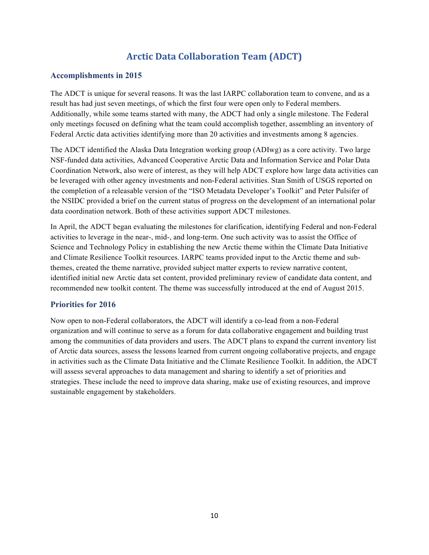# **Arctic Data Collaboration Team (ADCT)**

## **Accomplishments in 2015**

The ADCT is unique for several reasons. It was the last IARPC collaboration team to convene, and as a result has had just seven meetings, of which the first four were open only to Federal members. Additionally, while some teams started with many, the ADCT had only a single milestone. The Federal only meetings focused on defining what the team could accomplish together, assembling an inventory of Federal Arctic data activities identifying more than 20 activities and investments among 8 agencies.

The ADCT identified the Alaska Data Integration working group (ADIwg) as a core activity. Two large NSF-funded data activities, Advanced Cooperative Arctic Data and Information Service and Polar Data Coordination Network, also were of interest, as they will help ADCT explore how large data activities can be leveraged with other agency investments and non-Federal activities. Stan Smith of USGS reported on the completion of a releasable version of the "ISO Metadata Developer's Toolkit" and Peter Pulsifer of the NSIDC provided a brief on the current status of progress on the development of an international polar data coordination network. Both of these activities support ADCT milestones.

In April, the ADCT began evaluating the milestones for clarification, identifying Federal and non-Federal activities to leverage in the near-, mid-, and long-term. One such activity was to assist the Office of Science and Technology Policy in establishing the new Arctic theme within the Climate Data Initiative and Climate Resilience Toolkit resources. IARPC teams provided input to the Arctic theme and subthemes, created the theme narrative, provided subject matter experts to review narrative content, identified initial new Arctic data set content, provided preliminary review of candidate data content, and recommended new toolkit content. The theme was successfully introduced at the end of August 2015.

### **Priorities for 2016**

Now open to non-Federal collaborators, the ADCT will identify a co-lead from a non-Federal organization and will continue to serve as a forum for data collaborative engagement and building trust among the communities of data providers and users. The ADCT plans to expand the current inventory list of Arctic data sources, assess the lessons learned from current ongoing collaborative projects, and engage in activities such as the Climate Data Initiative and the Climate Resilience Toolkit. In addition, the ADCT will assess several approaches to data management and sharing to identify a set of priorities and strategies. These include the need to improve data sharing, make use of existing resources, and improve sustainable engagement by stakeholders.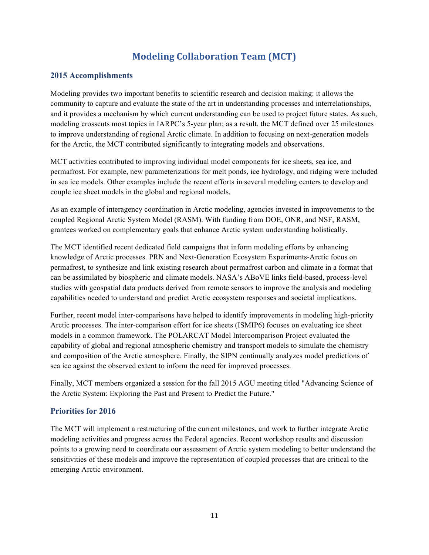# **Modeling Collaboration Team (MCT)**

### **2015 Accomplishments**

Modeling provides two important benefits to scientific research and decision making: it allows the community to capture and evaluate the state of the art in understanding processes and interrelationships, and it provides a mechanism by which current understanding can be used to project future states. As such, modeling crosscuts most topics in IARPC's 5-year plan; as a result, the MCT defined over 25 milestones to improve understanding of regional Arctic climate. In addition to focusing on next-generation models for the Arctic, the MCT contributed significantly to integrating models and observations.

MCT activities contributed to improving individual model components for ice sheets, sea ice, and permafrost. For example, new parameterizations for melt ponds, ice hydrology, and ridging were included in sea ice models. Other examples include the recent efforts in several modeling centers to develop and couple ice sheet models in the global and regional models.

As an example of interagency coordination in Arctic modeling, agencies invested in improvements to the coupled Regional Arctic System Model (RASM). With funding from DOE, ONR, and NSF, RASM, grantees worked on complementary goals that enhance Arctic system understanding holistically.

The MCT identified recent dedicated field campaigns that inform modeling efforts by enhancing knowledge of Arctic processes. PRN and Next-Generation Ecosystem Experiments-Arctic focus on permafrost, to synthesize and link existing research about permafrost carbon and climate in a format that can be assimilated by biospheric and climate models. NASA's ABoVE links field-based, process-level studies with geospatial data products derived from remote sensors to improve the analysis and modeling capabilities needed to understand and predict Arctic ecosystem responses and societal implications.

Further, recent model inter-comparisons have helped to identify improvements in modeling high-priority Arctic processes. The inter-comparison effort for ice sheets (ISMIP6) focuses on evaluating ice sheet models in a common framework. The POLARCAT Model Intercomparison Project evaluated the capability of global and regional atmospheric chemistry and transport models to simulate the chemistry and composition of the Arctic atmosphere. Finally, the SIPN continually analyzes model predictions of sea ice against the observed extent to inform the need for improved processes.

Finally, MCT members organized a session for the fall 2015 AGU meeting titled "Advancing Science of the Arctic System: Exploring the Past and Present to Predict the Future."

## **Priorities for 2016**

The MCT will implement a restructuring of the current milestones, and work to further integrate Arctic modeling activities and progress across the Federal agencies. Recent workshop results and discussion points to a growing need to coordinate our assessment of Arctic system modeling to better understand the sensitivities of these models and improve the representation of coupled processes that are critical to the emerging Arctic environment.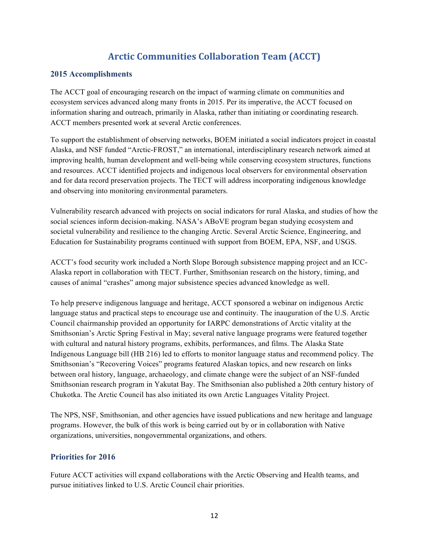# **Arctic Communities Collaboration Team (ACCT)**

#### **2015 Accomplishments**

The ACCT goal of encouraging research on the impact of warming climate on communities and ecosystem services advanced along many fronts in 2015. Per its imperative, the ACCT focused on information sharing and outreach, primarily in Alaska, rather than initiating or coordinating research. ACCT members presented work at several Arctic conferences.

To support the establishment of observing networks, BOEM initiated a social indicators project in coastal Alaska, and NSF funded "Arctic-FROST," an international, interdisciplinary research network aimed at improving health, human development and well-being while conserving ecosystem structures, functions and resources. ACCT identified projects and indigenous local observers for environmental observation and for data record preservation projects. The TECT will address incorporating indigenous knowledge and observing into monitoring environmental parameters.

Vulnerability research advanced with projects on social indicators for rural Alaska, and studies of how the social sciences inform decision-making. NASA's ABoVE program began studying ecosystem and societal vulnerability and resilience to the changing Arctic. Several Arctic Science, Engineering, and Education for Sustainability programs continued with support from BOEM, EPA, NSF, and USGS.

ACCT's food security work included a North Slope Borough subsistence mapping project and an ICC-Alaska report in collaboration with TECT. Further, Smithsonian research on the history, timing, and causes of animal "crashes" among major subsistence species advanced knowledge as well.

To help preserve indigenous language and heritage, ACCT sponsored a webinar on indigenous Arctic language status and practical steps to encourage use and continuity. The inauguration of the U.S. Arctic Council chairmanship provided an opportunity for IARPC demonstrations of Arctic vitality at the Smithsonian's Arctic Spring Festival in May; several native language programs were featured together with cultural and natural history programs, exhibits, performances, and films. The Alaska State Indigenous Language bill (HB 216) led to efforts to monitor language status and recommend policy. The Smithsonian's "Recovering Voices" programs featured Alaskan topics, and new research on links between oral history, language, archaeology, and climate change were the subject of an NSF-funded Smithsonian research program in Yakutat Bay. The Smithsonian also published a 20th century history of Chukotka. The Arctic Council has also initiated its own Arctic Languages Vitality Project.

The NPS, NSF, Smithsonian, and other agencies have issued publications and new heritage and language programs. However, the bulk of this work is being carried out by or in collaboration with Native organizations, universities, nongovernmental organizations, and others.

### **Priorities for 2016**

Future ACCT activities will expand collaborations with the Arctic Observing and Health teams, and pursue initiatives linked to U.S. Arctic Council chair priorities.